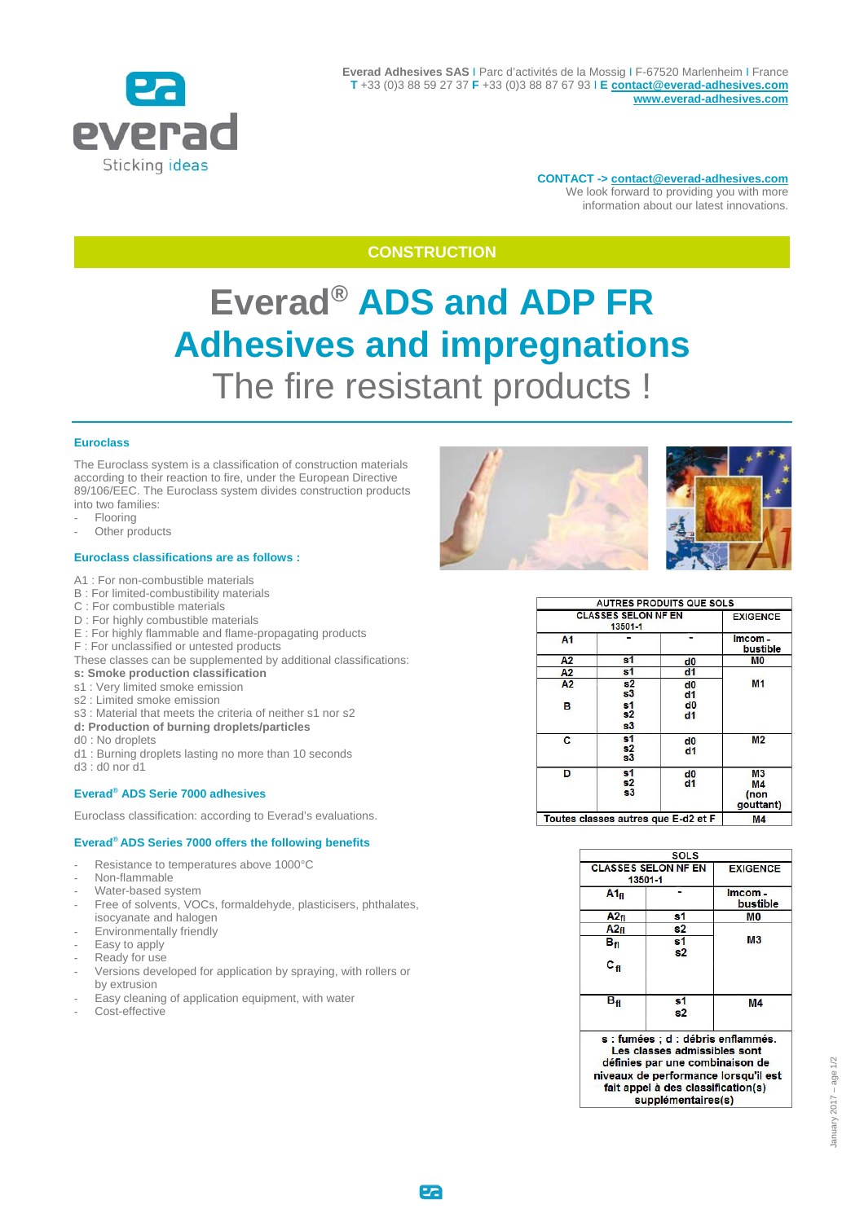

**CONTACT -> contact@everad-adhesives.com**  We look forward to providing you with more information about our latest innovations.

# **CONSTRUCTION**

# **Everad® ADS and ADP FR Adhesives and impregnations**  The fire resistant products !

## **Euroclass**

The Euroclass system is a classification of construction materials according to their reaction to fire, under the European Directive 89/106/EEC. The Euroclass system divides construction products into two families:

- **Flooring**
- Other products

#### **Euroclass classifications are as follows :**

- A1 : For non-combustible materials
- B : For limited-combustibility materials
- C : For combustible materials
- D : For highly combustible materials
- E : For highly flammable and flame-propagating products
- F : For unclassified or untested products
- These classes can be supplemented by additional classifications:
- **s: Smoke production classification**
- s1 : Very limited smoke emission
- s2 : Limited smoke emission
- s3 : Material that meets the criteria of neither s1 nor s2
- **d: Production of burning droplets/particles**
- d0 : No droplets
- d1 : Burning droplets lasting no more than 10 seconds
- d3 : d0 nor d1

#### **Everad® ADS Serie 7000 adhesives**

Euroclass classification: according to Everad's evaluations.

### **Everad® ADS Series 7000 offers the following benefits**

- Resistance to temperatures above 1000°C
- Non-flammable
- Water-based system
- Free of solvents, VOCs, formaldehyde, plasticisers, phthalates, isocyanate and halogen
- Environmentally friendly
- Easy to apply
- Ready for use
- Versions developed for application by spraying, with rollers or by extrusion
- Easy cleaning of application equipment, with water
- Cost-effective



| <b>CLASSES SELON NF EN</b><br>13501-1 |                                        |                       | <b>EXIGENCE</b>                           |
|---------------------------------------|----------------------------------------|-----------------------|-------------------------------------------|
| A1                                    |                                        |                       | Imcom-<br>bustible                        |
| A2                                    | s <sub>1</sub>                         | d0                    | <b>MO</b>                                 |
| A2                                    | s <sub>1</sub>                         | d <sub>1</sub>        |                                           |
| A2<br>в                               | s2<br>s3<br>s <sub>1</sub><br>s2<br>s3 | d0<br>d1<br>d0<br>dd1 | M <sub>1</sub>                            |
| C                                     | s <sub>1</sub><br>s2<br>s3             | d0<br>d <sub>1</sub>  | M <sub>2</sub>                            |
| D                                     | s <sub>1</sub><br>s2<br>s3             | d0<br>dd1             | M <sub>3</sub><br>М4<br>(non<br>qouttant) |
| Toutes classes autres que E-d2 et F   |                                        |                       | M <sub>4</sub>                            |

|                                       | SOLS                                                               |                                      |
|---------------------------------------|--------------------------------------------------------------------|--------------------------------------|
| <b>CLASSES SELON NF EN</b><br>13501-1 | <b>EXIGENCE</b>                                                    |                                      |
| $A1_{fl}$                             |                                                                    | Imcom-<br>bustible                   |
| A2f1                                  | s1                                                                 | M <sub>0</sub>                       |
| A2f1                                  | s2                                                                 |                                      |
| $B_{\rm fl}$                          | s <sub>1</sub><br>s2                                               | М3                                   |
| $\mathbf{c}_{\, \mathbf{f}}$          |                                                                    |                                      |
| Bя                                    | s1<br>s2                                                           | M4                                   |
|                                       | s : fumées ; d : débris enflammés.<br>Les classes admissibles sont |                                      |
|                                       | définies par une combinaison de                                    |                                      |
|                                       |                                                                    | niveaux de performance lorsqu'il est |
|                                       | fait appel à des classification(s)                                 |                                      |
|                                       | supplémentaires(s)                                                 |                                      |